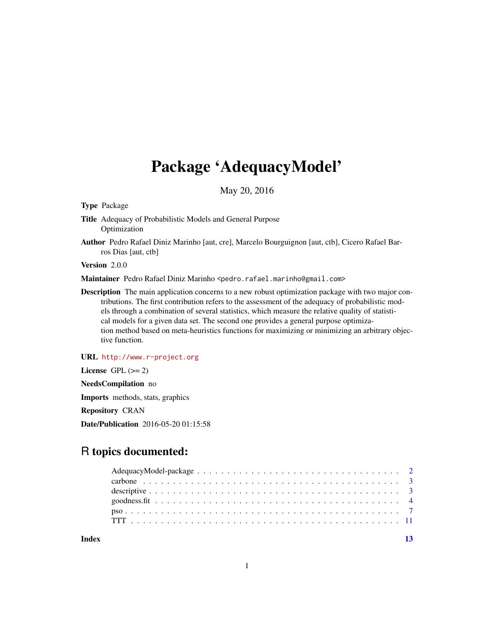## Package 'AdequacyModel'

May 20, 2016

<span id="page-0-0"></span>Type Package

Title Adequacy of Probabilistic Models and General Purpose Optimization

Author Pedro Rafael Diniz Marinho [aut, cre], Marcelo Bourguignon [aut, ctb], Cicero Rafael Barros Dias [aut, ctb]

Version 2.0.0

Maintainer Pedro Rafael Diniz Marinho <pedro.rafael.marinho@gmail.com>

Description The main application concerns to a new robust optimization package with two major contributions. The first contribution refers to the assessment of the adequacy of probabilistic models through a combination of several statistics, which measure the relative quality of statistical models for a given data set. The second one provides a general purpose optimization method based on meta-heuristics functions for maximizing or minimizing an arbitrary objective function.

URL <http://www.r-project.org>

License GPL  $(>= 2)$ 

NeedsCompilation no

Imports methods, stats, graphics

Repository CRAN

Date/Publication 2016-05-20 01:15:58

## R topics documented:

**Index** [13](#page-12-0)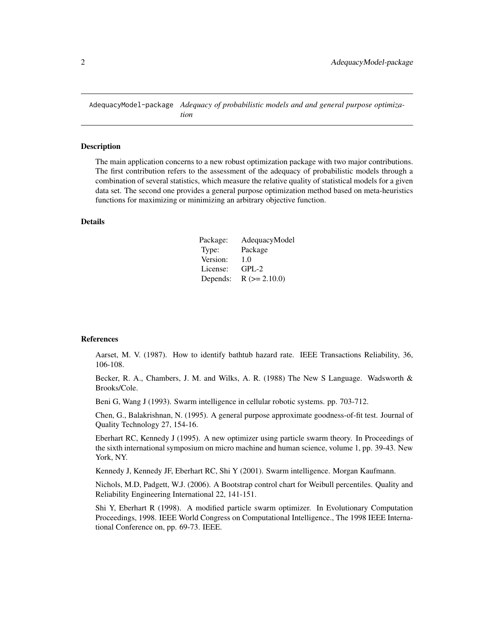<span id="page-1-0"></span>AdequacyModel-package *Adequacy of probabilistic models and and general purpose optimization*

#### Description

The main application concerns to a new robust optimization package with two major contributions. The first contribution refers to the assessment of the adequacy of probabilistic models through a combination of several statistics, which measure the relative quality of statistical models for a given data set. The second one provides a general purpose optimization method based on meta-heuristics functions for maximizing or minimizing an arbitrary objective function.

## Details

| Package: | AdequacyModel  |
|----------|----------------|
| Type:    | Package        |
| Version: | 1.0            |
| License: | $GPL-2$        |
| Depends: | $R (= 2.10.0)$ |

#### References

Aarset, M. V. (1987). How to identify bathtub hazard rate. IEEE Transactions Reliability, 36, 106-108.

Becker, R. A., Chambers, J. M. and Wilks, A. R. (1988) The New S Language. Wadsworth & Brooks/Cole.

Beni G, Wang J (1993). Swarm intelligence in cellular robotic systems. pp. 703-712.

Chen, G., Balakrishnan, N. (1995). A general purpose approximate goodness-of-fit test. Journal of Quality Technology 27, 154-16.

Eberhart RC, Kennedy J (1995). A new optimizer using particle swarm theory. In Proceedings of the sixth international symposium on micro machine and human science, volume 1, pp. 39-43. New York, NY.

Kennedy J, Kennedy JF, Eberhart RC, Shi Y (2001). Swarm intelligence. Morgan Kaufmann.

Nichols, M.D, Padgett, W.J. (2006). A Bootstrap control chart for Weibull percentiles. Quality and Reliability Engineering International 22, 141-151.

Shi Y, Eberhart R (1998). A modified particle swarm optimizer. In Evolutionary Computation Proceedings, 1998. IEEE World Congress on Computational Intelligence., The 1998 IEEE International Conference on, pp. 69-73. IEEE.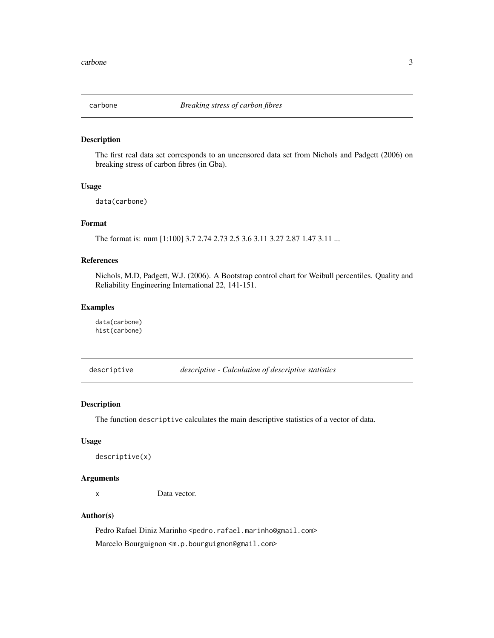<span id="page-2-0"></span>

#### Description

The first real data set corresponds to an uncensored data set from Nichols and Padgett (2006) on breaking stress of carbon fibres (in Gba).

#### Usage

data(carbone)

#### Format

The format is: num [1:100] 3.7 2.74 2.73 2.5 3.6 3.11 3.27 2.87 1.47 3.11 ...

## References

Nichols, M.D, Padgett, W.J. (2006). A Bootstrap control chart for Weibull percentiles. Quality and Reliability Engineering International 22, 141-151.

#### Examples

data(carbone) hist(carbone)

descriptive *descriptive - Calculation of descriptive statistics*

#### Description

The function descriptive calculates the main descriptive statistics of a vector of data.

#### Usage

```
descriptive(x)
```
## Arguments

x Data vector.

### Author(s)

Pedro Rafael Diniz Marinho <pedro.rafael.marinho@gmail.com> Marcelo Bourguignon <m.p.bourguignon@gmail.com>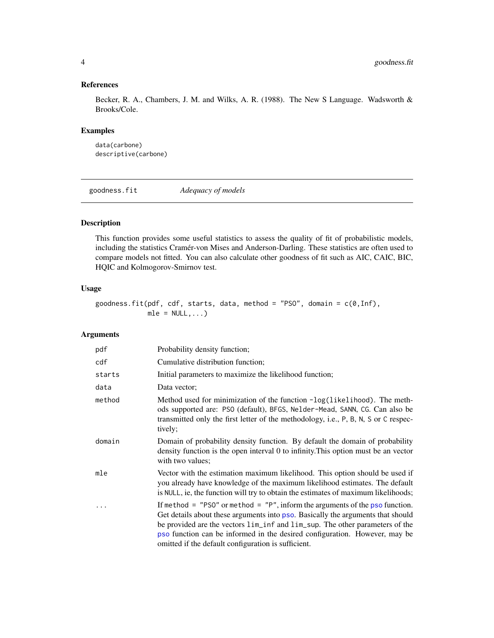## References

Becker, R. A., Chambers, J. M. and Wilks, A. R. (1988). The New S Language. Wadsworth & Brooks/Cole.

### Examples

```
data(carbone)
descriptive(carbone)
```
goodness.fit *Adequacy of models*

#### Description

This function provides some useful statistics to assess the quality of fit of probabilistic models, including the statistics Cramér-von Mises and Anderson-Darling. These statistics are often used to compare models not fitted. You can also calculate other goodness of fit such as AIC, CAIC, BIC, HQIC and Kolmogorov-Smirnov test.

## Usage

```
goodness.fit(pdf, cdf, starts, data, method = "PSO", domain = c(0,Inf),
            mle = NULL, ...
```
## Arguments

| pdf    | Probability density function;                                                                                                                                                                                                                                                                                                                                                                                                                |
|--------|----------------------------------------------------------------------------------------------------------------------------------------------------------------------------------------------------------------------------------------------------------------------------------------------------------------------------------------------------------------------------------------------------------------------------------------------|
| cdf    | Cumulative distribution function;                                                                                                                                                                                                                                                                                                                                                                                                            |
| starts | Initial parameters to maximize the likelihood function;                                                                                                                                                                                                                                                                                                                                                                                      |
| data   | Data vector;                                                                                                                                                                                                                                                                                                                                                                                                                                 |
| method | Method used for minimization of the function -log(likelihood). The meth-<br>ods supported are: PSO (default), BFGS, Nelder-Mead, SANN, CG. Can also be<br>transmitted only the first letter of the methodology, i.e., P, B, N, S or C respec-<br>tively;                                                                                                                                                                                     |
| domain | Domain of probability density function. By default the domain of probability<br>density function is the open interval 0 to infinity. This option must be an vector<br>with two values;                                                                                                                                                                                                                                                       |
| mle    | Vector with the estimation maximum likelihood. This option should be used if<br>you already have knowledge of the maximum likelihood estimates. The default<br>is NULL, ie, the function will try to obtain the estimates of maximum likelihoods;                                                                                                                                                                                            |
|        | If method = $"PSO"$ or method = $"P"$ , inform the arguments of the pso function.<br>Get details about these arguments into pso. Basically the arguments that should<br>be provided are the vectors $\lim_{n \to \infty} \frac{1}{n}$ and $\lim_{n \to \infty} \frac{1}{n}$ are other parameters of the<br>pso function can be informed in the desired configuration. However, may be<br>omitted if the default configuration is sufficient. |

<span id="page-3-0"></span>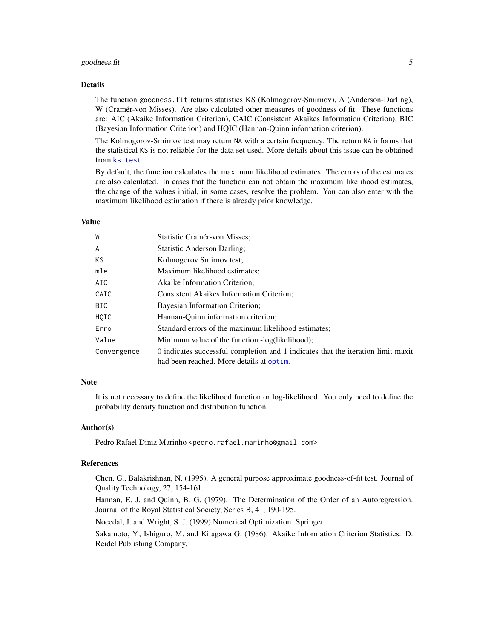#### <span id="page-4-0"></span>goodness.fit 5

#### Details

The function goodness.fit returns statistics KS (Kolmogorov-Smirnov), A (Anderson-Darling), W (Cramér-von Misses). Are also calculated other measures of goodness of fit. These functions are: AIC (Akaike Information Criterion), CAIC (Consistent Akaikes Information Criterion), BIC (Bayesian Information Criterion) and HQIC (Hannan-Quinn information criterion).

The Kolmogorov-Smirnov test may return NA with a certain frequency. The return NA informs that the statistical KS is not reliable for the data set used. More details about this issue can be obtained from [ks.test](#page-0-0).

By default, the function calculates the maximum likelihood estimates. The errors of the estimates are also calculated. In cases that the function can not obtain the maximum likelihood estimates, the change of the values initial, in some cases, resolve the problem. You can also enter with the maximum likelihood estimation if there is already prior knowledge.

## Value

| W           | Statistic Cramér-von Misses;                                                                                                 |  |
|-------------|------------------------------------------------------------------------------------------------------------------------------|--|
| A           | <b>Statistic Anderson Darling;</b>                                                                                           |  |
| ΚS          | Kolmogorov Smirnov test;                                                                                                     |  |
| mle         | Maximum likelihood estimates;                                                                                                |  |
| AIC         | Akaike Information Criterion;                                                                                                |  |
| CAIC        | <b>Consistent Akaikes Information Criterion;</b>                                                                             |  |
| BIC         | Bayesian Information Criterion;                                                                                              |  |
| HQIC        | Hannan-Quinn information criterion;                                                                                          |  |
| Erro        | Standard errors of the maximum likelihood estimates;                                                                         |  |
| Value       | Minimum value of the function -log(likelihood);                                                                              |  |
| Convergence | 0 indicates successful completion and 1 indicates that the iteration limit maxit<br>had been reached. More details at optim. |  |

#### Note

It is not necessary to define the likelihood function or log-likelihood. You only need to define the probability density function and distribution function.

#### Author(s)

Pedro Rafael Diniz Marinho <pedro.rafael.marinho@gmail.com>

#### References

Chen, G., Balakrishnan, N. (1995). A general purpose approximate goodness-of-fit test. Journal of Quality Technology, 27, 154-161.

Hannan, E. J. and Quinn, B. G. (1979). The Determination of the Order of an Autoregression. Journal of the Royal Statistical Society, Series B, 41, 190-195.

Nocedal, J. and Wright, S. J. (1999) Numerical Optimization. Springer.

Sakamoto, Y., Ishiguro, M. and Kitagawa G. (1986). Akaike Information Criterion Statistics. D. Reidel Publishing Company.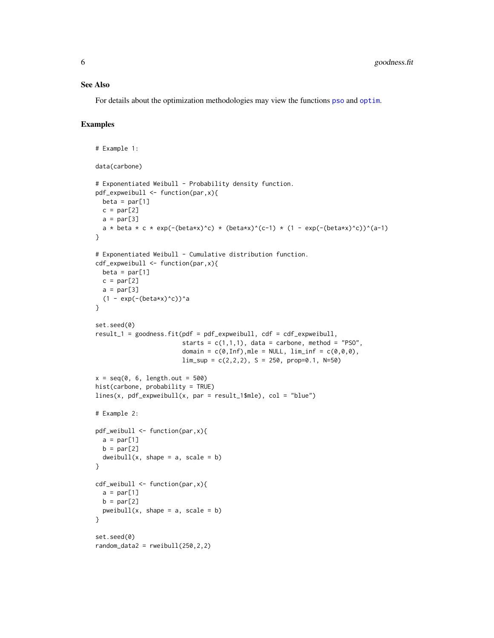#### <span id="page-5-0"></span>See Also

For details about the optimization methodologies may view the functions [pso](#page-6-1) and [optim](#page-0-0).

## Examples

```
# Example 1:
data(carbone)
# Exponentiated Weibull - Probability density function.
pdf_expweibull <- function(par,x){
 beta = par[1]c = par[2]a = par[3]a * beta * c * exp(-(beta*x)^c) * (beta*x)^(c-1) * (1 - exp(-(beta*x)^c))^(a-1)
}
# Exponentiated Weibull - Cumulative distribution function.
cdf_expweibull <- function(par,x){
 beta = par[1]c = par[2]a = par[3](1 - \exp(-(beta*x)^c))a
}
set.seed(0)
result_1 = goodness.fit(pdf = pdf_expweibull, cdf = cdf_expweibull,
                         starts = c(1,1,1), data = carbone, method = "PSO",
                         domain = c(\emptyset, \text{Inf}), mle = NULL, lim_inf = c(\emptyset, \emptyset, \emptyset),
                         \lim_{s \to 0} = c(2,2,2), S = 250, prop=0.1, N=50)x = seq(0, 6, length.out = 500)hist(carbone, probability = TRUE)
lines(x, pdf\_expweibull(x, par = result_1$mle), col = "blue")# Example 2:
pdf_weibull <- function(par,x){
  a = par[1]b = par[2]dweibull(x, shape = a, scale = b)
}
cdf_weibull <- function(par,x){
  a = par[1]b = par[2]pweibull(x, shape = a, scale = b)}
set.seed(0)
random_data2 = rweibull(250, 2, 2)
```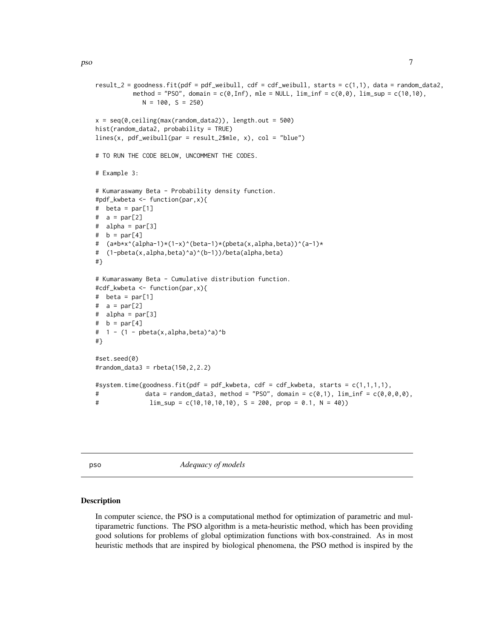```
result_2 = goodness.fit(pdf = pdf_weibull, cdf = cdf_weibull, starts = c(1,1), data = random_data2,method = "PSO", domain = c(\theta, \text{Inf}), mle = NULL, lim_inf = c(\theta, \theta), lim_sup = c(1\theta, 1\theta),
              N = 100, S = 250x = seq(0, ceiling(max(range\_data2)), length.out = 500)hist(random_data2, probability = TRUE)
lines(x, pdf_weibull(par = result_2$mle, x), col = "blue")# TO RUN THE CODE BELOW, UNCOMMENT THE CODES.
# Example 3:
# Kumaraswamy Beta - Probability density function.
#pdf_kwbeta <- function(par,x){
# beta = par[1]
# a = par[2]
# alpha = par[3]
# b = par[4]# (a*b*x^(alpha-1)*(1-x)^(beta-1)*(pbeta(x,alpha,beta))^(a-1)*
# (1-pbeta(x,alpha,beta)^a)^(b-1))/beta(alpha,beta)
#}
# Kumaraswamy Beta - Cumulative distribution function.
#cdf_kwbeta <- function(par,x){
# beta = par[1]
# a = par[2]# alpha = par[3]
# b = par[4]
# 1 - (1 - \text{pbeta}(x, \text{alpha}, \text{beta}, \text{beta})^b#}
#set.seed(0)
#random_data3 = rbeta(150,2,2.2)
#system.time(goodness.fit(pdf = pdf_kwbeta, cdf = cdf_kwbeta, starts = c(1,1,1,1),
# data = random_data3, method = "PSO", domain = c(\emptyset,1), \lim_{n \to \infty} \text{inf} = c(\emptyset, \emptyset, \emptyset, \emptyset),
# \text{lim\_sup} = c(10,10,10,10), S = 200, prop = 0.1, N = 40))
```
<span id="page-6-1"></span>pso *Adequacy of models*

#### **Description**

In computer science, the PSO is a computational method for optimization of parametric and multiparametric functions. The PSO algorithm is a meta-heuristic method, which has been providing good solutions for problems of global optimization functions with box-constrained. As in most heuristic methods that are inspired by biological phenomena, the PSO method is inspired by the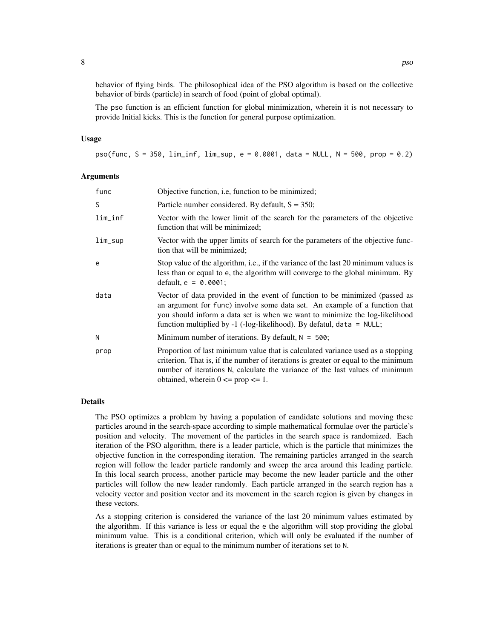behavior of flying birds. The philosophical idea of the PSO algorithm is based on the collective behavior of birds (particle) in search of food (point of global optimal).

The pso function is an efficient function for global minimization, wherein it is not necessary to provide Initial kicks. This is the function for general purpose optimization.

#### Usage

pso(func, S = 350, lim\_inf, lim\_sup, e = 0.0001, data = NULL, N = 500, prop = 0.2)

#### Arguments

| func    | Objective function, <i>i.e.</i> , function to be minimized;                                                                                                                                                                                                                                                       |
|---------|-------------------------------------------------------------------------------------------------------------------------------------------------------------------------------------------------------------------------------------------------------------------------------------------------------------------|
| S       | Particle number considered. By default, $S = 350$ ;                                                                                                                                                                                                                                                               |
| lim_inf | Vector with the lower limit of the search for the parameters of the objective<br>function that will be minimized;                                                                                                                                                                                                 |
| lim_sup | Vector with the upper limits of search for the parameters of the objective func-<br>tion that will be minimized;                                                                                                                                                                                                  |
| e       | Stop value of the algorithm, i.e., if the variance of the last 20 minimum values is<br>less than or equal to e, the algorithm will converge to the global minimum. By<br>default, $e = 0.0001$ ;                                                                                                                  |
| data    | Vector of data provided in the event of function to be minimized (passed as<br>an argument for func) involve some data set. An example of a function that<br>you should inform a data set is when we want to minimize the log-likelihood<br>function multiplied by -1 (-log-likelihood). By defatul, data = NULL; |
| N       | Minimum number of iterations. By default, $N = 500$ ;                                                                                                                                                                                                                                                             |
| prop    | Proportion of last minimum value that is calculated variance used as a stopping<br>criterion. That is, if the number of iterations is greater or equal to the minimum<br>number of iterations N, calculate the variance of the last values of minimum<br>obtained, wherein $0 \leq p$ prop $\leq 1$ .             |

#### Details

The PSO optimizes a problem by having a population of candidate solutions and moving these particles around in the search-space according to simple mathematical formulae over the particle's position and velocity. The movement of the particles in the search space is randomized. Each iteration of the PSO algorithm, there is a leader particle, which is the particle that minimizes the objective function in the corresponding iteration. The remaining particles arranged in the search region will follow the leader particle randomly and sweep the area around this leading particle. In this local search process, another particle may become the new leader particle and the other particles will follow the new leader randomly. Each particle arranged in the search region has a velocity vector and position vector and its movement in the search region is given by changes in these vectors.

As a stopping criterion is considered the variance of the last 20 minimum values estimated by the algorithm. If this variance is less or equal the e the algorithm will stop providing the global minimum value. This is a conditional criterion, which will only be evaluated if the number of iterations is greater than or equal to the minimum number of iterations set to N.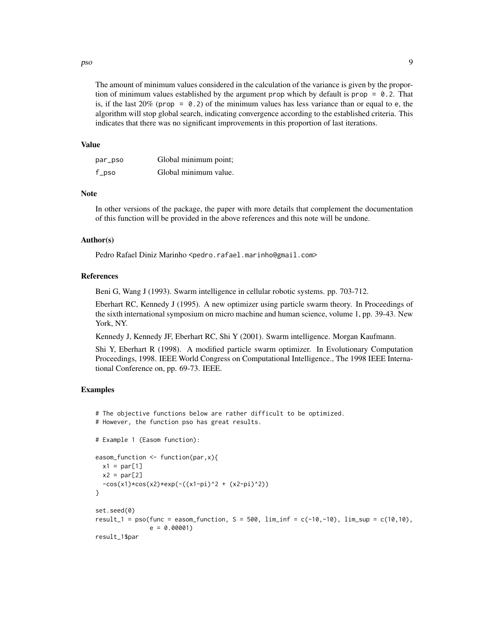pso 99

The amount of minimum values considered in the calculation of the variance is given by the proportion of minimum values established by the argument prop which by default is prop  $= 0.2$ . That is, if the last  $20\%$  (prop = 0.2) of the minimum values has less variance than or equal to e, the algorithm will stop global search, indicating convergence according to the established criteria. This indicates that there was no significant improvements in this proportion of last iterations.

#### Value

| par_pso | Global minimum point; |
|---------|-----------------------|
| f_pso   | Global minimum value. |

#### Note

In other versions of the package, the paper with more details that complement the documentation of this function will be provided in the above references and this note will be undone.

#### Author(s)

Pedro Rafael Diniz Marinho <pedro.rafael.marinho@gmail.com>

#### References

Beni G, Wang J (1993). Swarm intelligence in cellular robotic systems. pp. 703-712.

Eberhart RC, Kennedy J (1995). A new optimizer using particle swarm theory. In Proceedings of the sixth international symposium on micro machine and human science, volume 1, pp. 39-43. New York, NY.

Kennedy J, Kennedy JF, Eberhart RC, Shi Y (2001). Swarm intelligence. Morgan Kaufmann.

Shi Y, Eberhart R (1998). A modified particle swarm optimizer. In Evolutionary Computation Proceedings, 1998. IEEE World Congress on Computational Intelligence., The 1998 IEEE International Conference on, pp. 69-73. IEEE.

### Examples

```
# The objective functions below are rather difficult to be optimized.
# However, the function pso has great results.
# Example 1 (Easom function):
easom_function <- function(par,x){
  x1 = par[1]x2 = par[2]-cos(x1)*cos(x2)*exp(-(x1-pi)^2 + (x2-pi)^2))}
set.seed(0)
result_1 = pso(func = easom_function, S = 500, \lim_{n \to \infty} \inf = c(-10,-10), \lim_{n \to \infty} \sup = c(10,10),
                e = 0.00001result_1$par
```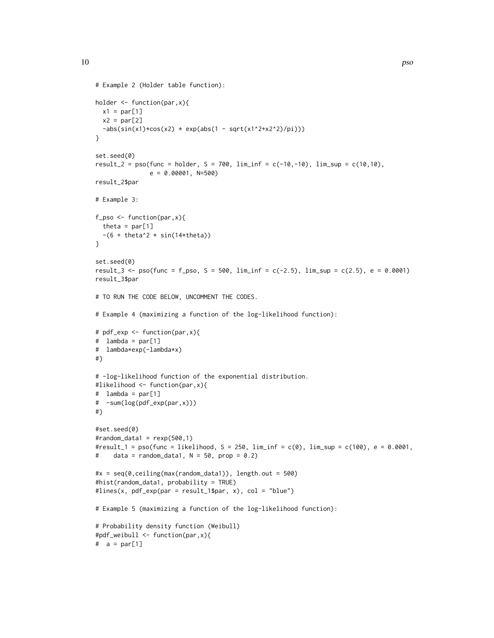```
# Example 2 (Holder table function):
holder <- function(par,x){
 x1 = par[1]x2 = par[2]-abs(sin(x1)*cos(x2) * exp(abs(1 - sqrt(x1^2+x2^2)/pi)))}
set.seed(0)
result_2 = pso(func = holder, S = 700, \liminf = c(-10,-10), \limsup = c(10,10),
               e = 0.00001, N=500result_2$par
# Example 3:
f_pso <- function(par,x){
  theta = par[1]-(6 + \theta + 2 \times \sin(14 \times \theta))}
set.seed(0)
result_3 <- pso(func = f_pso, S = 500, lim_inf = c(-2.5), lim_sup = c(2.5), e = 0.0001)
result_3$par
# TO RUN THE CODE BELOW, UNCOMMENT THE CODES.
# Example 4 (maximizing a function of the log-likelihood function):
# pdf_exp <- function(par,x){
# lambda = par[1]
# lambda*exp(-lambda*x)
#}
# -log-likelihood function of the exponential distribution.
#likelihood <- function(par,x){
# lambda = par[1]
# -sum(log(pdf_exp(par,x)))
#}
#set.seed(0)
#random_data1 = resp(500, 1)#result_1 = pso(func = likelihood, S = 250, lim_inf = c(0), lim_sup = c(100), e = 0.0001,
# data = random_data1, N = 50, prop = 0.2)
#x = seq(0, ceiling(max(range\_data1)), length.out = 500)#hist(random_data1, probability = TRUE)
#lines(x, pdf_exp(par = result_1$par, x), col = "blue")
# Example 5 (maximizing a function of the log-likelihood function):
# Probability density function (Weibull)
#pdf_weibull <- function(par,x){
# a = par[1]
```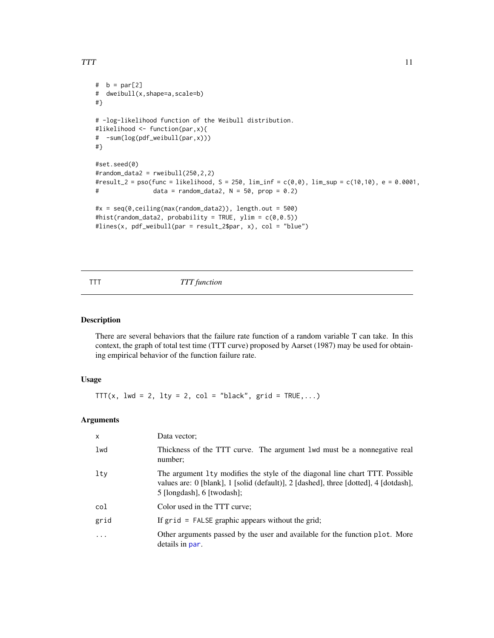```
# b = par[2]
# dweibull(x,shape=a,scale=b)
#}
# -log-likelihood function of the Weibull distribution.
#likelihood <- function(par,x){
# -sum(log(pdf_weibull(par,x)))
#}
#set.seed(0)
#random_data2 = rweibull(250, 2, 2)#result_2 = pso(func = likelihood, S = 250, lim_inf = c(0,0), lim_sup = c(10,10), e = 0.0001,
# data = random_data2, N = 50, prop = 0.2)
#x = seq(0, ceiling(max(range\_data2)), length.out = 500)#hist(random_data2, probability = TRUE, ylim = c(\theta, \theta.5))
#lines(x, pdf_weibull(par = result_2$par, x), col = "blue")
```
#### TTT *TTT function*

#### Description

There are several behaviors that the failure rate function of a random variable T can take. In this context, the graph of total test time (TTT curve) proposed by Aarset (1987) may be used for obtaining empirical behavior of the function failure rate.

#### Usage

TTT(x, lwd = 2, lty = 2, col = "black",  $grid = TRUE,...)$ 

#### Arguments

| $\times$  | Data vector:                                                                                                                                                                                         |
|-----------|------------------------------------------------------------------------------------------------------------------------------------------------------------------------------------------------------|
| lwd       | Thickness of the TTT curve. The argument 1wd must be a nonnegative real<br>number;                                                                                                                   |
| lty       | The argument 1ty modifies the style of the diagonal line chart TTT. Possible<br>values are: 0 [blank], 1 [solid (default)], 2 [dashed], three [dotted], 4 [dotdash],<br>$5$ [longdash], 6 [twodash]; |
| col       | Color used in the TTT curve;                                                                                                                                                                         |
| grid      | If $grid = FALSE graphic appears without the grid;$                                                                                                                                                  |
| $\ddotsc$ | Other arguments passed by the user and available for the function plot. More<br>details in par.                                                                                                      |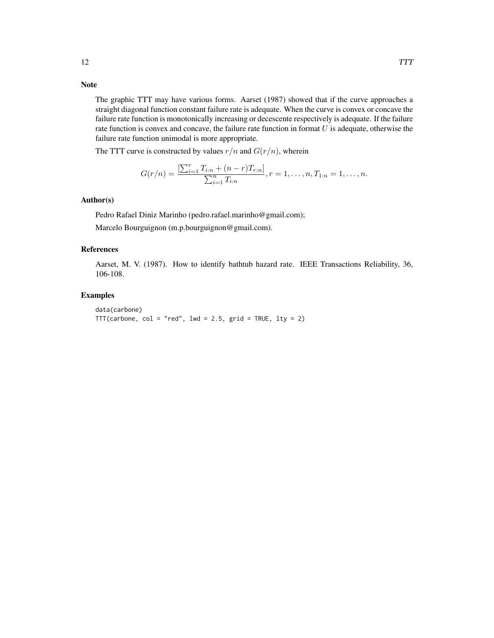## Note

The graphic TTT may have various forms. Aarset (1987) showed that if the curve approaches a straight diagonal function constant failure rate is adequate. When the curve is convex or concave the failure rate function is monotonically increasing or decescente respectively is adequate. If the failure rate function is convex and concave, the failure rate function in format  $U$  is adequate, otherwise the failure rate function unimodal is more appropriate.

The TTT curve is constructed by values  $r/n$  and  $G(r/n)$ , wherein

$$
G(r/n) = \frac{\left[\sum_{i=1}^{r} T_{i:n} + (n-r)T_{r:n}\right]}{\sum_{i=1}^{n} T_{i:n}}, r = 1, \dots, n, T_{1:n} = 1, \dots, n.
$$

#### Author(s)

Pedro Rafael Diniz Marinho (pedro.rafael.marinho@gmail.com);

Marcelo Bourguignon (m.p.bourguignon@gmail.com).

#### References

Aarset, M. V. (1987). How to identify bathtub hazard rate. IEEE Transactions Reliability, 36, 106-108.

#### Examples

```
data(carbone)
TTT(carbone, col = "red", lwd = 2.5, grid = TRUE, lty = 2)
```